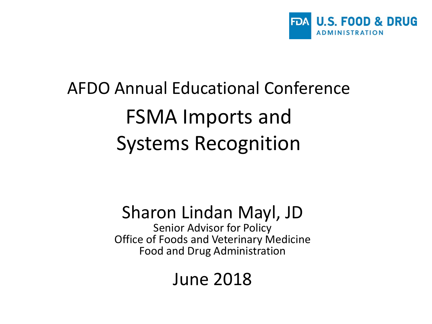

#### AFDO Annual Educational Conference FSMA Imports and Systems Recognition

#### Sharon Lindan Mayl, JD

Senior Advisor for Policy Office of Foods and Veterinary Medicine Food and Drug Administration

#### June 2018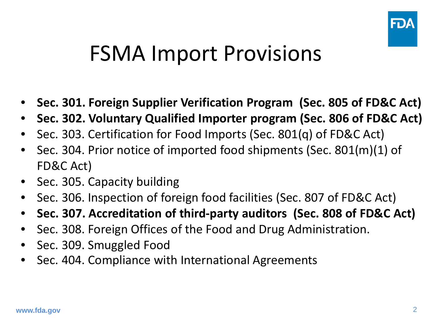

#### FSMA Import Provisions

- **Sec. 301. Foreign Supplier Verification Program (Sec. 805 of FD&C Act)**
- **Sec. 302. Voluntary Qualified Importer program (Sec. 806 of FD&C Act)**
- Sec. 303. Certification for Food Imports (Sec. 801(q) of FD&C Act)
- Sec. 304. Prior notice of imported food shipments (Sec. 801(m)(1) of FD&C Act)
- Sec. 305. Capacity building
- Sec. 306. Inspection of foreign food facilities (Sec. 807 of FD&C Act)
- **Sec. 307. Accreditation of third-party auditors (Sec. 808 of FD&C Act)**
- Sec. 308. Foreign Offices of the Food and Drug Administration.
- Sec. 309. Smuggled Food
- Sec. 404. Compliance with International Agreements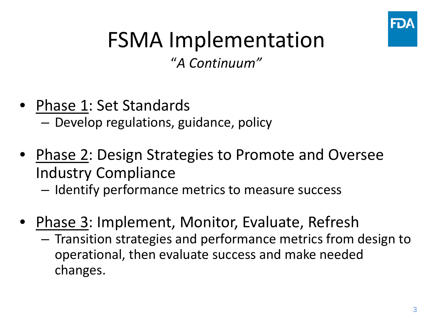

#### FSMA Implementation

"*A Continuum"*

- Phase 1: Set Standards – Develop regulations, guidance, policy
- Phase 2: Design Strategies to Promote and Oversee Industry Compliance – Identify performance metrics to measure success
- Phase 3: Implement, Monitor, Evaluate, Refresh
	- Transition strategies and performance metrics from design to operational, then evaluate success and make needed changes.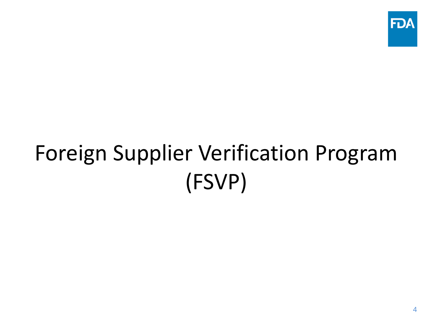

#### Foreign Supplier Verification Program (FSVP)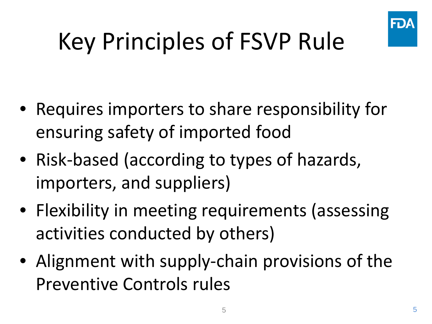

# Key Principles of FSVP Rule

- Requires importers to share responsibility for ensuring safety of imported food
- Risk-based (according to types of hazards, importers, and suppliers)
- Flexibility in meeting requirements (assessing activities conducted by others)
- Alignment with supply-chain provisions of the Preventive Controls rules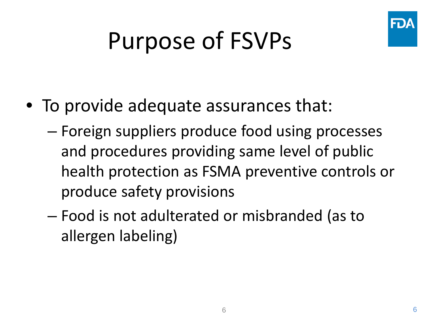

## Purpose of FSVPs

- To provide adequate assurances that:
	- Foreign suppliers produce food using processes and procedures providing same level of public health protection as FSMA preventive controls or produce safety provisions
	- Food is not adulterated or misbranded (as to allergen labeling)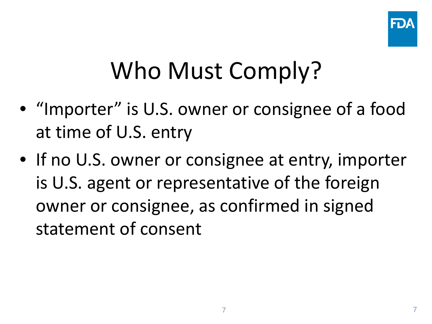

### Who Must Comply?

- "Importer" is U.S. owner or consignee of a food at time of U.S. entry
- If no U.S. owner or consignee at entry, importer is U.S. agent or representative of the foreign owner or consignee, as confirmed in signed statement of consent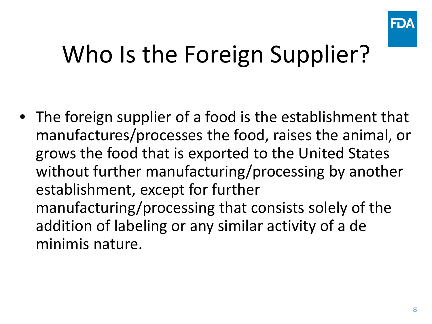

### Who Is the Foreign Supplier?

• The foreign supplier of a food is the establishment that manufactures/processes the food, raises the animal, or grows the food that is exported to the United States without further manufacturing/processing by another establishment, except for further manufacturing/processing that consists solely of the addition of labeling or any similar activity of a de minimis nature.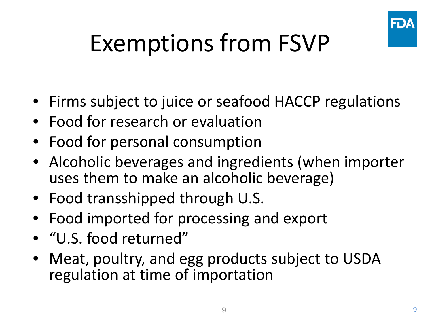

## Exemptions from FSVP

- Firms subject to juice or seafood HACCP regulations
- Food for research or evaluation
- Food for personal consumption
- Alcoholic beverages and ingredients (when importer uses them to make an alcoholic beverage)
- Food transshipped through U.S.
- Food imported for processing and export
- "U.S. food returned"
- Meat, poultry, and egg products subject to USDA regulation at time of importation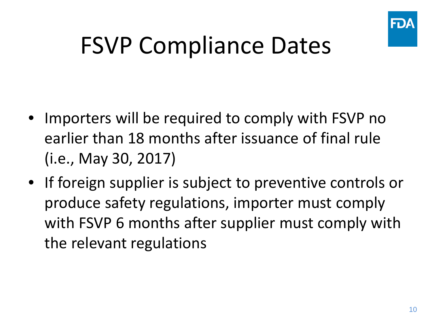

#### FSVP Compliance Dates

- Importers will be required to comply with FSVP no earlier than 18 months after issuance of final rule (i.e., May 30, 2017)
- If foreign supplier is subject to preventive controls or produce safety regulations, importer must comply with FSVP 6 months after supplier must comply with the relevant regulations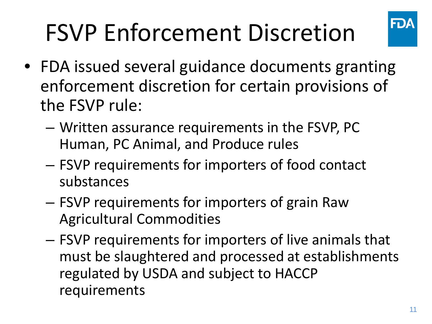# FSVP Enforcement Discretion



- FDA issued several guidance documents granting enforcement discretion for certain provisions of the FSVP rule:
	- Written assurance requirements in the FSVP, PC Human, PC Animal, and Produce rules
	- FSVP requirements for importers of food contact substances
	- FSVP requirements for importers of grain Raw Agricultural Commodities
	- FSVP requirements for importers of live animals that must be slaughtered and processed at establishments regulated by USDA and subject to HACCP requirements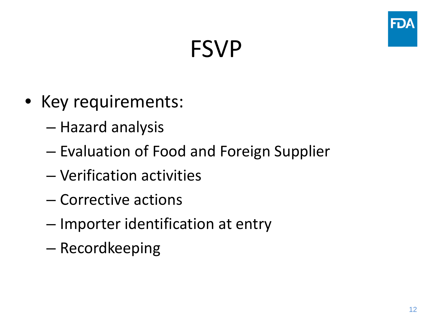#### FSVP

- Key requirements:
	- Hazard analysis
	- Evaluation of Food and Foreign Supplier
	- Verification activities
	- Corrective actions
	- Importer identification at entry
	- Recordkeeping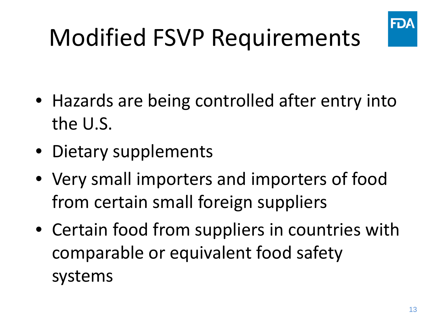

# Modified FSVP Requirements

- Hazards are being controlled after entry into the U.S.
- Dietary supplements
- Very small importers and importers of food from certain small foreign suppliers
- Certain food from suppliers in countries with comparable or equivalent food safety systems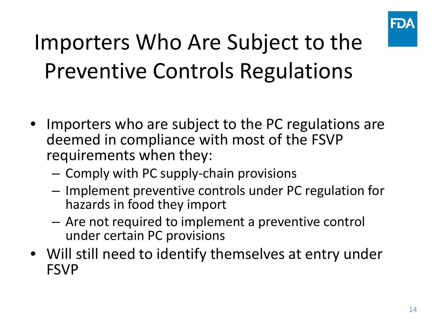

#### Importers Who Are Subject to the Preventive Controls Regulations

- Importers who are subject to the PC regulations are deemed in compliance with most of the FSVP requirements when they:
	- Comply with PC supply-chain provisions
	- Implement preventive controls under PC regulation for hazards in food they import
	- Are not required to implement a preventive control under certain PC provisions
- Will still need to identify themselves at entry under FSVP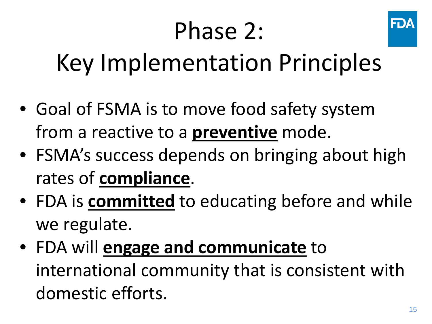## Phase 2:



## Key Implementation Principles

- Goal of FSMA is to move food safety system from a reactive to a **preventive** mode.
- FSMA's success depends on bringing about high rates of **compliance**.
- FDA is **committed** to educating before and while we regulate.
- FDA will **engage and communicate** to international community that is consistent with domestic efforts.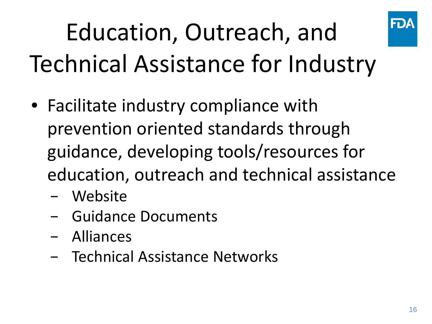

# Education, Outreach, and Technical Assistance for Industry

- Facilitate industry compliance with prevention oriented standards through guidance, developing tools/resources for education, outreach and technical assistance
	- − Website
	- − Guidance Documents
	- − Alliances
	- − Technical Assistance Networks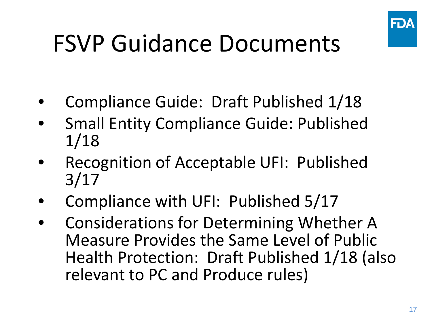

## FSVP Guidance Documents

- Compliance Guide: Draft Published 1/18
- Small Entity Compliance Guide: Published 1/18
- Recognition of Acceptable UFI: Published 3/17
- Compliance with UFI: Published 5/17
- Considerations for Determining Whether A Measure Provides the Same Level of Public Health Protection: Draft Published 1/18 (also relevant to PC and Produce rules)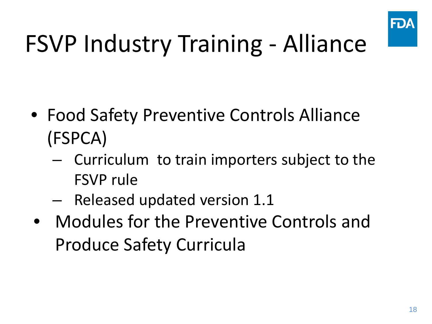

## FSVP Industry Training - Alliance

- Food Safety Preventive Controls Alliance (FSPCA)
	- Curriculum to train importers subject to the FSVP rule
	- Released updated version 1.1
- Modules for the Preventive Controls and Produce Safety Curricula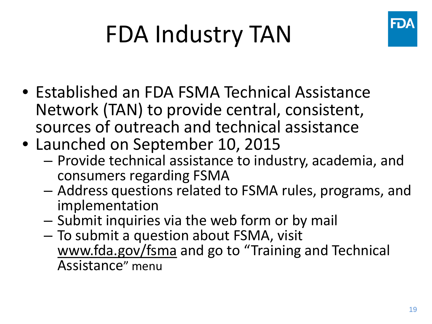

## FDA Industry TAN

- Established an FDA FSMA Technical Assistance Network (TAN) to provide central, consistent, sources of outreach and technical assistance
- Launched on September 10, 2015
	- Provide technical assistance to industry, academia, and consumers regarding FSMA
	- Address questions related to FSMA rules, programs, and implementation
	- Submit inquiries via the web form or by mail
	- To submit a question about FSMA, visit www.fda.gov/fsma and go to "Training and Technical Assistance" menu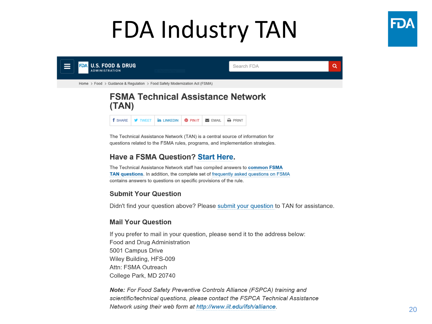#### FDA Industry TAN







The Technical Assistance Network (TAN) is a central source of information for questions related to the FSMA rules, programs, and implementation strategies.

#### **Have a FSMA Question? Start Here.**

The Technical Assistance Network staff has compiled answers to common FSMA TAN questions. In addition, the complete set of frequently asked questions on FSMA contains answers to questions on specific provisions of the rule.

#### **Submit Your Question**

Didn't find your question above? Please submit your question to TAN for assistance.

#### **Mail Your Question**

If you prefer to mail in your question, please send it to the address below: Food and Drug Administration 5001 Campus Drive Wiley Building, HFS-009 Attn: FSMA Outreach College Park, MD 20740

Note: For Food Safety Preventive Controls Alliance (FSPCA) training and scientific/technical questions, please contact the FSPCA Technical Assistance Network using their web form at http://www.iit.edu/ifsh/alliance.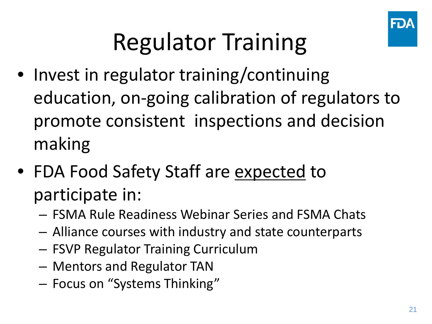

## Regulator Training

- Invest in regulator training/continuing education, on-going calibration of regulators to promote consistent inspections and decision making
- FDA Food Safety Staff are expected to participate in:
	- FSMA Rule Readiness Webinar Series and FSMA Chats
	- Alliance courses with industry and state counterparts
	- FSVP Regulator Training Curriculum
	- Mentors and Regulator TAN
	- Focus on "Systems Thinking"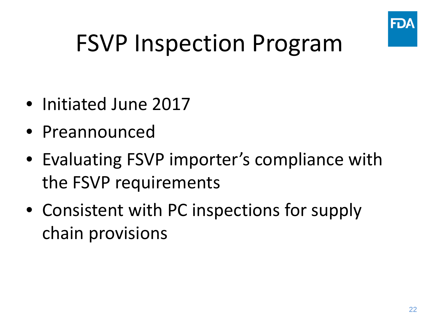

## FSVP Inspection Program

- Initiated June 2017
- Preannounced
- Evaluating FSVP importer's compliance with the FSVP requirements
- Consistent with PC inspections for supply chain provisions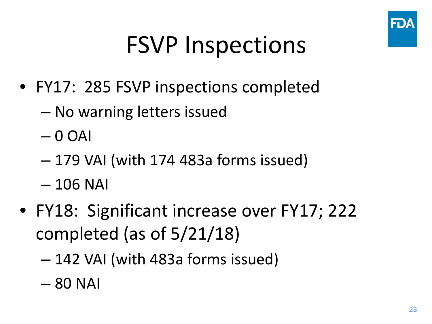

### FSVP Inspections

- FY17: 285 FSVP inspections completed
	- No warning letters issued
	- $-0$  OAI
	- 179 VAI (with 174 483a forms issued)
	- 106 NAI
- FY18: Significant increase over FY17; 222 completed (as of 5/21/18)
	- 142 VAI (with 483a forms issued)
	- 80 NAI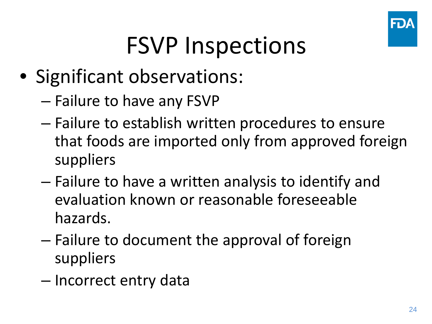

### FSVP Inspections

- Significant observations:
	- Failure to have any FSVP
	- Failure to establish written procedures to ensure that foods are imported only from approved foreign suppliers
	- Failure to have a written analysis to identify and evaluation known or reasonable foreseeable hazards.
	- Failure to document the approval of foreign suppliers
	- Incorrect entry data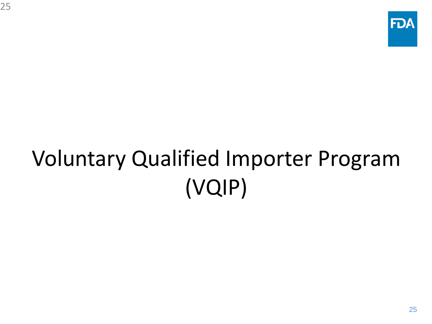## Voluntary Qualified Importer Program (VQIP)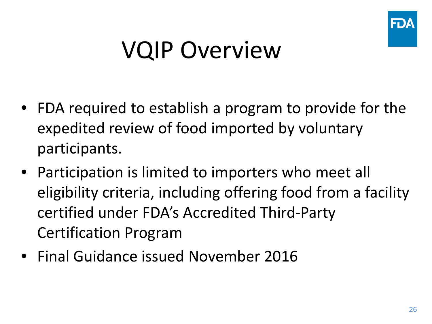

#### VQIP Overview

- FDA required to establish a program to provide for the expedited review of food imported by voluntary participants.
- Participation is limited to importers who meet all eligibility criteria, including offering food from a facility certified under FDA's Accredited Third-Party Certification Program
- Final Guidance issued November 2016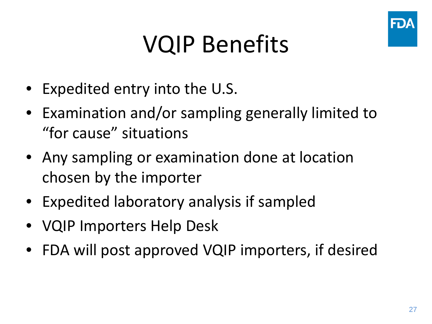

#### VQIP Benefits

- Expedited entry into the U.S.
- Examination and/or sampling generally limited to "for cause" situations
- Any sampling or examination done at location chosen by the importer
- Expedited laboratory analysis if sampled
- VQIP Importers Help Desk
- FDA will post approved VQIP importers, if desired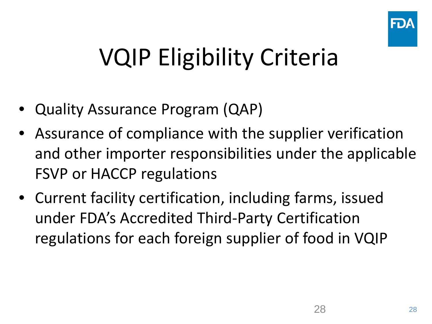

## VQIP Eligibility Criteria

- Quality Assurance Program (QAP)
- Assurance of compliance with the supplier verification and other importer responsibilities under the applicable FSVP or HACCP regulations
- Current facility certification, including farms, issued under FDA's Accredited Third-Party Certification regulations for each foreign supplier of food in VQIP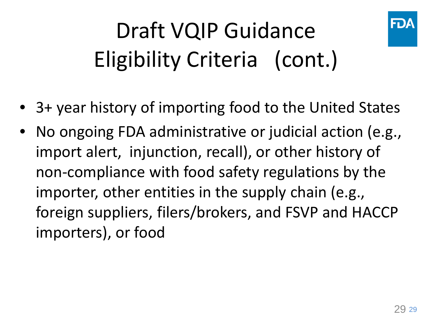

## Draft VQIP Guidance Eligibility Criteria (cont.)

- 3+ year history of importing food to the United States
- No ongoing FDA administrative or judicial action (e.g., import alert, injunction, recall), or other history of non-compliance with food safety regulations by the importer, other entities in the supply chain (e.g., foreign suppliers, filers/brokers, and FSVP and HACCP importers), or food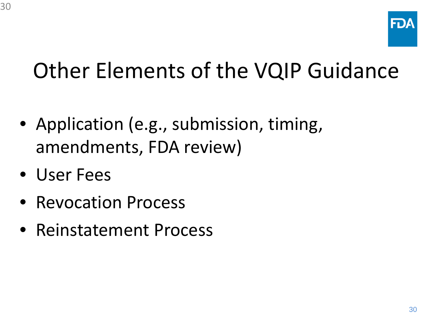#### Other Elements of the VQIP Guidance

- Application (e.g., submission, timing, amendments, FDA review)
- User Fees

30

- Revocation Process
- Reinstatement Process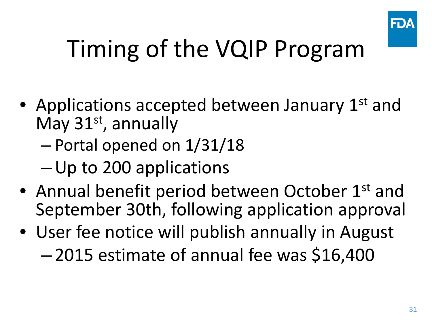

## Timing of the VQIP Program

- Applications accepted between January 1<sup>st</sup> and May 31<sup>st</sup>, annually
	- Portal opened on 1/31/18
	- –Up to 200 applications
- Annual benefit period between October 1<sup>st</sup> and September 30th, following application approval
- User fee notice will publish annually in August
	- 2015 estimate of annual fee was \$16,400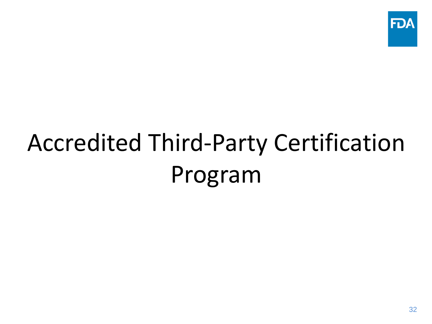

# Accredited Third-Party Certification Program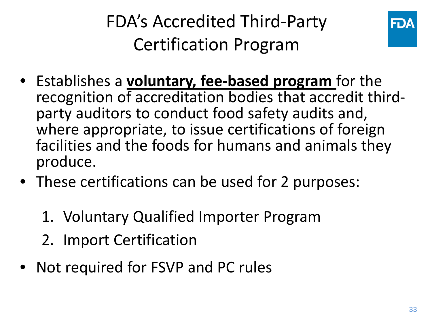FDA's Accredited Third-Party Certification Program



- Establishes a **voluntary, fee-based program** for the recognition of accreditation bodies that accredit third- party auditors to conduct food safety audits and, where appropriate, to issue certifications of foreign facilities and the foods for humans and animals they produce.
- These certifications can be used for 2 purposes:
	- 1. Voluntary Qualified Importer Program
	- 2. Import Certification
- Not required for FSVP and PC rules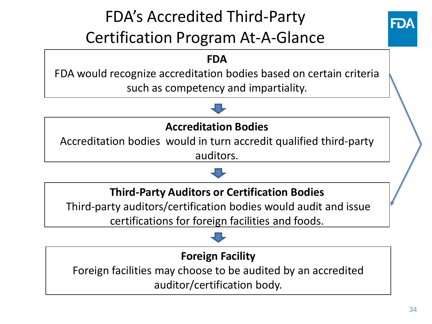#### FDA's Accredited Third-Party Certification Program At-A-Glance



#### **FDA**

FDA would recognize accreditation bodies based on certain criteria such as competency and impartiality.

#### **Accreditation Bodies**

Accreditation bodies would in turn accredit qualified third-party auditors.

#### **Third-Party Auditors or Certification Bodies**

Third-party auditors/certification bodies would audit and issue certifications for foreign facilities and foods.

#### **Foreign Facility**

Foreign facilities may choose to be audited by an accredited auditor/certification body.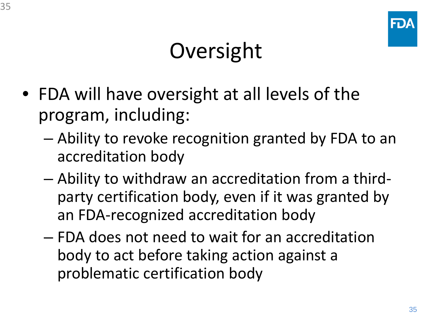#### Oversight

- FDA will have oversight at all levels of the program, including:
	- Ability to revoke recognition granted by FDA to an accreditation body
	- Ability to withdraw an accreditation from a thirdparty certification body, even if it was granted by an FDA-recognized accreditation body
	- FDA does not need to wait for an accreditation body to act before taking action against a problematic certification body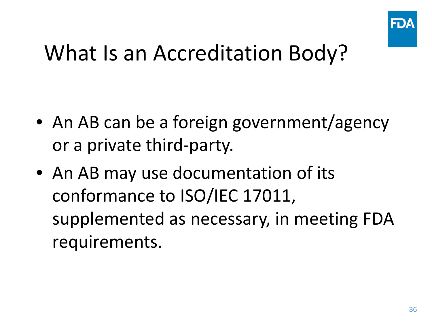

#### What Is an Accreditation Body?

- An AB can be a foreign government/agency or a private third-party.
- An AB may use documentation of its conformance to ISO/IEC 17011, supplemented as necessary, in meeting FDA requirements.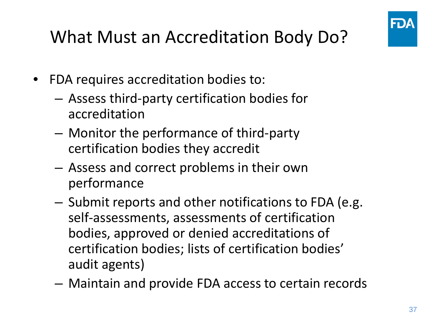

#### What Must an Accreditation Body Do?

- FDA requires accreditation bodies to:
	- Assess third-party certification bodies for accreditation
	- Monitor the performance of third-party certification bodies they accredit
	- Assess and correct problems in their own performance
	- Submit reports and other notifications to FDA (e.g. self-assessments, assessments of certification bodies, approved or denied accreditations of certification bodies; lists of certification bodies' audit agents)
	- Maintain and provide FDA access to certain records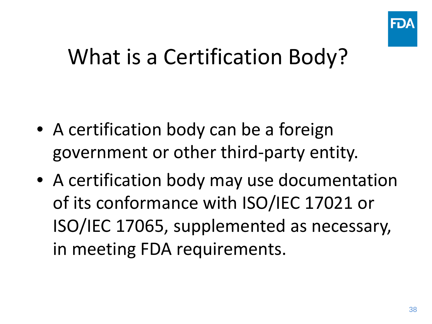

#### What is a Certification Body?

- A certification body can be a foreign government or other third-party entity.
- A certification body may use documentation of its conformance with ISO/IEC 17021 or ISO/IEC 17065, supplemented as necessary, in meeting FDA requirements.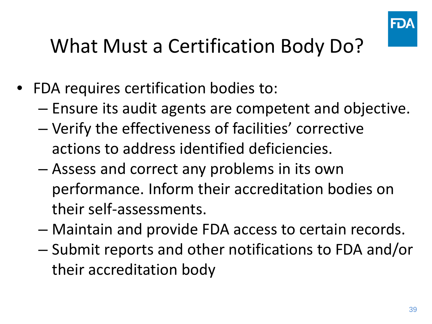

#### What Must a Certification Body Do?

- FDA requires certification bodies to:
	- Ensure its audit agents are competent and objective.
	- Verify the effectiveness of facilities' corrective actions to address identified deficiencies.
	- Assess and correct any problems in its own performance. Inform their accreditation bodies on their self-assessments.
	- Maintain and provide FDA access to certain records.
	- Submit reports and other notifications to FDA and/or their accreditation body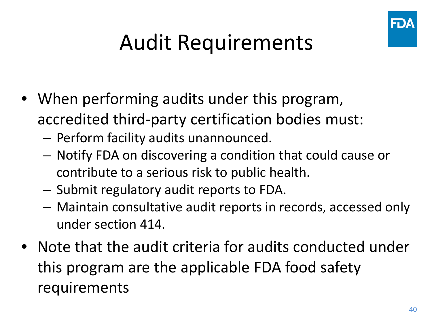

#### Audit Requirements

- When performing audits under this program, accredited third-party certification bodies must:
	- Perform facility audits unannounced.
	- Notify FDA on discovering a condition that could cause or contribute to a serious risk to public health.
	- Submit regulatory audit reports to FDA.
	- Maintain consultative audit reports in records, accessed only under section 414.
- Note that the audit criteria for audits conducted under this program are the applicable FDA food safety requirements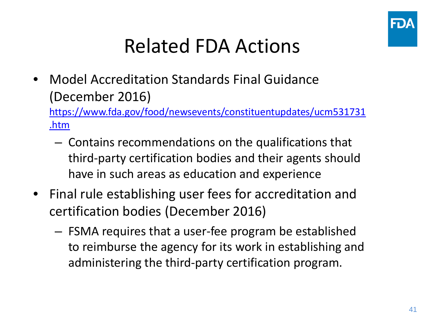

#### Related FDA Actions

• Model Accreditation Standards Final Guidance (December 2016)

[https://www.fda.gov/food/newsevents/constituentupdates/ucm531731](https://www.fda.gov/food/newsevents/constituentupdates/ucm531731.htm) .htm

- Contains recommendations on the qualifications that third-party certification bodies and their agents should have in such areas as education and experience
- Final rule establishing user fees for accreditation and certification bodies (December 2016)
	- FSMA requires that a user-fee program be established to reimburse the agency for its work in establishing and administering the third-party certification program.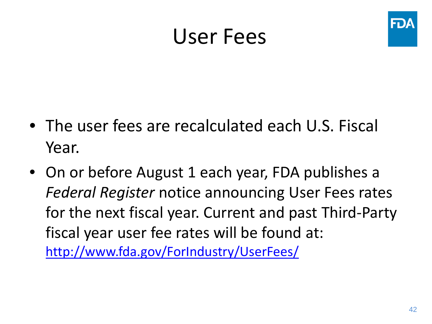#### User Fees



- The user fees are recalculated each U.S. Fiscal Year.
- On or before August 1 each year, FDA publishes a *Federal Register* notice announcing User Fees rates for the next fiscal year. Current and past Third-Party fiscal year user fee rates will be found at:

<http://www.fda.gov/ForIndustry/UserFees/>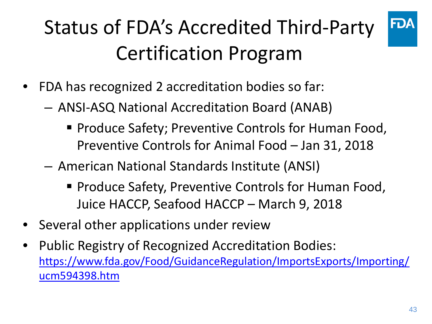#### Status of FDA's Accredited Third-Party Certification Program



- FDA has recognized 2 accreditation bodies so far:
	- ANSI-ASQ National Accreditation Board (ANAB)
		- **Produce Safety; Preventive Controls for Human Food,** Preventive Controls for Animal Food – Jan 31, 2018
	- American National Standards Institute (ANSI)
		- **Produce Safety, Preventive Controls for Human Food,** Juice HACCP, Seafood HACCP – March 9, 2018
- Several other applications under review
- Public Registry of Recognized Accreditation Bodies: [https://www.fda.gov/Food/GuidanceRegulation/ImportsExports/Importing/](https://www.fda.gov/Food/GuidanceRegulation/ImportsExports/Importing/ucm594398.htm) ucm594398.htm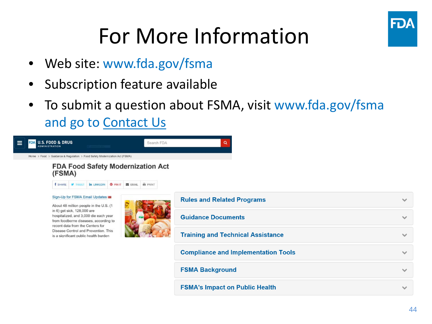

#### For More Information

- Web site: www.fda.gov/fsma
- Subscription feature available
- To submit a question about FSMA, visit www.fda.gov/fsma and go to Contact Us



| <b>Rules and Related Programs</b>          |  |
|--------------------------------------------|--|
| <b>Guidance Documents</b>                  |  |
| <b>Training and Technical Assistance</b>   |  |
| <b>Compliance and Implementation Tools</b> |  |
| <b>FSMA Background</b>                     |  |
| <b>FSMA's Impact on Public Health</b>      |  |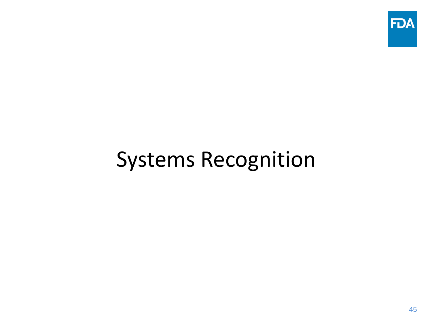

#### Systems Recognition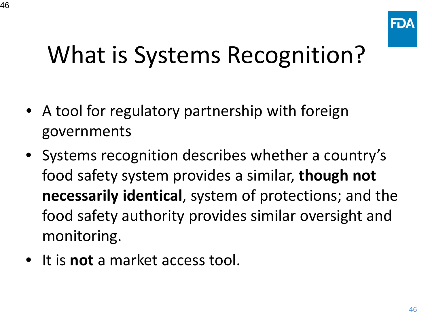

## What is Systems Recognition?

- A tool for regulatory partnership with foreign governments
- Systems recognition describes whether a country's food safety system provides a similar, **though not necessarily identical**, system of protections; and the food safety authority provides similar oversight and monitoring.
- It is **not** a market access tool.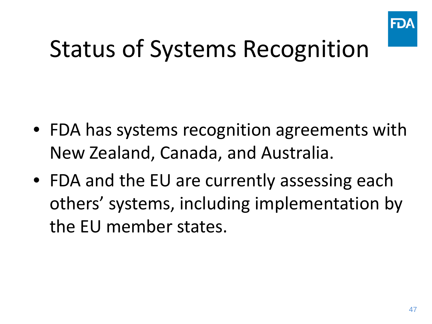

### Status of Systems Recognition

- FDA has systems recognition agreements with New Zealand, Canada, and Australia.
- FDA and the EU are currently assessing each others' systems, including implementation by the EU member states.